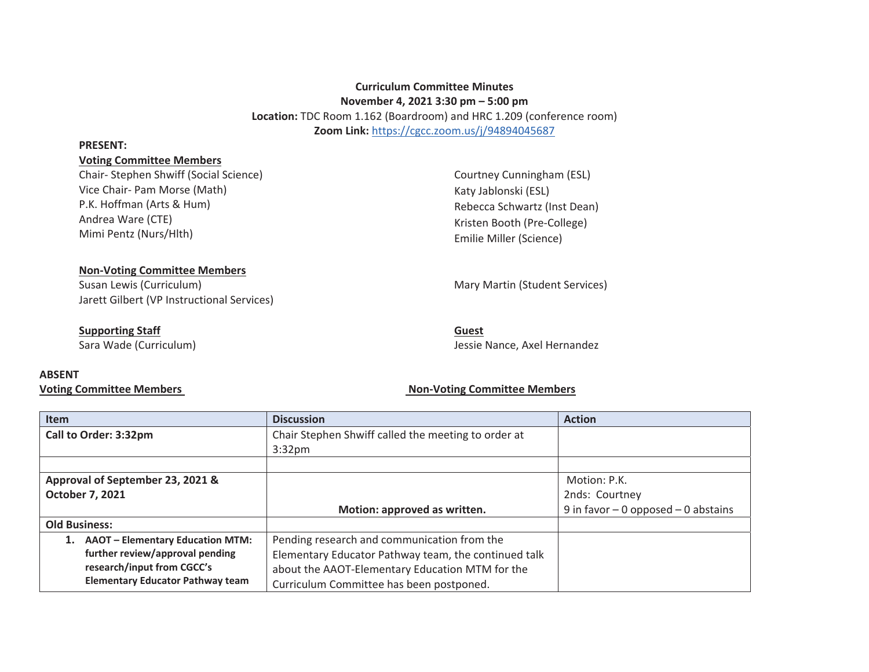# **Curriculum Committee Minutes November 4, 2021 3:30 pm – 5:00 pm Location:** TDC Room 1.162 (Boardroom) and HRC 1.209 (conference room) **Zoom Link:** https://cgcc.zoom.us/j/94894045687

#### **PRESENT:**

# **Voting Committee Members**

Chair- Stephen Shwiff (Social Science) Vice Chair- Pam Morse (Math) P.K. Hoffman (Arts & Hum) Andrea Ware (CTE) Mimi Pentz (Nurs/Hlth)

Courtney Cunningham (ESL) Katy Jablonski (ESL) Rebecca Schwartz (Inst Dean) Kristen Booth (Pre-College) Emilie Miller (Science)

### **Non-Voting Committee Members**

Susan Lewis (Curriculum) and Martin (Student Services) Mary Martin (Student Services) Jarett Gilbert (VP Instructional Services)

# **Supporting Staff**

Sara Wade (Curriculum)

# Jessie Nance, Axel Hernandez

# **ABSENT**

# **Voting Committee Members Non-Voting Committee Members**

**Guest** 

| <b>Item</b>                                   | <b>Discussion</b>                                    | <b>Action</b>                           |
|-----------------------------------------------|------------------------------------------------------|-----------------------------------------|
| Call to Order: 3:32pm                         | Chair Stephen Shwiff called the meeting to order at  |                                         |
|                                               | 3:32 <sub>pm</sub>                                   |                                         |
|                                               |                                                      |                                         |
| Approval of September 23, 2021 &              |                                                      | Motion: P.K.                            |
| October 7, 2021                               |                                                      | 2nds: Courtney                          |
|                                               | Motion: approved as written.                         | 9 in favor $-$ 0 opposed $-$ 0 abstains |
| <b>Old Business:</b>                          |                                                      |                                         |
| <b>AAOT - Elementary Education MTM:</b><br>1. | Pending research and communication from the          |                                         |
| further review/approval pending               | Elementary Educator Pathway team, the continued talk |                                         |
| research/input from CGCC's                    | about the AAOT-Elementary Education MTM for the      |                                         |
| <b>Elementary Educator Pathway team</b>       | Curriculum Committee has been postponed.             |                                         |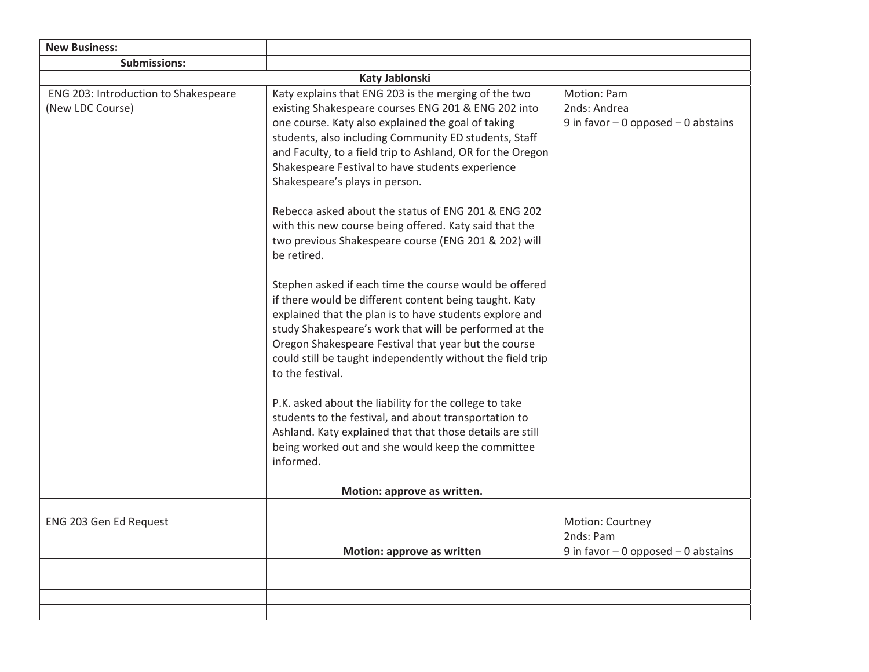| Katy Jablonski                                                                                                                                                                                                                                                                                                                                                                                                                                                                                                                                                                                                                                                                                                                                                                                                                                                                                                                                                                                                                                                                                                                                                                                 |                                                                        |  |  |  |
|------------------------------------------------------------------------------------------------------------------------------------------------------------------------------------------------------------------------------------------------------------------------------------------------------------------------------------------------------------------------------------------------------------------------------------------------------------------------------------------------------------------------------------------------------------------------------------------------------------------------------------------------------------------------------------------------------------------------------------------------------------------------------------------------------------------------------------------------------------------------------------------------------------------------------------------------------------------------------------------------------------------------------------------------------------------------------------------------------------------------------------------------------------------------------------------------|------------------------------------------------------------------------|--|--|--|
| Katy explains that ENG 203 is the merging of the two<br>existing Shakespeare courses ENG 201 & ENG 202 into<br>one course. Katy also explained the goal of taking<br>students, also including Community ED students, Staff<br>and Faculty, to a field trip to Ashland, OR for the Oregon<br>Shakespeare Festival to have students experience<br>Shakespeare's plays in person.<br>Rebecca asked about the status of ENG 201 & ENG 202<br>with this new course being offered. Katy said that the<br>two previous Shakespeare course (ENG 201 & 202) will<br>be retired.<br>Stephen asked if each time the course would be offered<br>if there would be different content being taught. Katy<br>explained that the plan is to have students explore and<br>study Shakespeare's work that will be performed at the<br>Oregon Shakespeare Festival that year but the course<br>could still be taught independently without the field trip<br>to the festival.<br>P.K. asked about the liability for the college to take<br>students to the festival, and about transportation to<br>Ashland. Katy explained that that those details are still<br>being worked out and she would keep the committee | Motion: Pam<br>2nds: Andrea<br>9 in favor $-$ 0 opposed $-$ 0 abstains |  |  |  |
|                                                                                                                                                                                                                                                                                                                                                                                                                                                                                                                                                                                                                                                                                                                                                                                                                                                                                                                                                                                                                                                                                                                                                                                                |                                                                        |  |  |  |
| Motion: approve as written.                                                                                                                                                                                                                                                                                                                                                                                                                                                                                                                                                                                                                                                                                                                                                                                                                                                                                                                                                                                                                                                                                                                                                                    |                                                                        |  |  |  |
|                                                                                                                                                                                                                                                                                                                                                                                                                                                                                                                                                                                                                                                                                                                                                                                                                                                                                                                                                                                                                                                                                                                                                                                                |                                                                        |  |  |  |
|                                                                                                                                                                                                                                                                                                                                                                                                                                                                                                                                                                                                                                                                                                                                                                                                                                                                                                                                                                                                                                                                                                                                                                                                | Motion: Courtney<br>2nds: Pam                                          |  |  |  |
|                                                                                                                                                                                                                                                                                                                                                                                                                                                                                                                                                                                                                                                                                                                                                                                                                                                                                                                                                                                                                                                                                                                                                                                                | 9 in favor $-$ 0 opposed $-$ 0 abstains                                |  |  |  |
|                                                                                                                                                                                                                                                                                                                                                                                                                                                                                                                                                                                                                                                                                                                                                                                                                                                                                                                                                                                                                                                                                                                                                                                                |                                                                        |  |  |  |
|                                                                                                                                                                                                                                                                                                                                                                                                                                                                                                                                                                                                                                                                                                                                                                                                                                                                                                                                                                                                                                                                                                                                                                                                |                                                                        |  |  |  |
|                                                                                                                                                                                                                                                                                                                                                                                                                                                                                                                                                                                                                                                                                                                                                                                                                                                                                                                                                                                                                                                                                                                                                                                                |                                                                        |  |  |  |
|                                                                                                                                                                                                                                                                                                                                                                                                                                                                                                                                                                                                                                                                                                                                                                                                                                                                                                                                                                                                                                                                                                                                                                                                |                                                                        |  |  |  |
|                                                                                                                                                                                                                                                                                                                                                                                                                                                                                                                                                                                                                                                                                                                                                                                                                                                                                                                                                                                                                                                                                                                                                                                                | informed.<br>Motion: approve as written                                |  |  |  |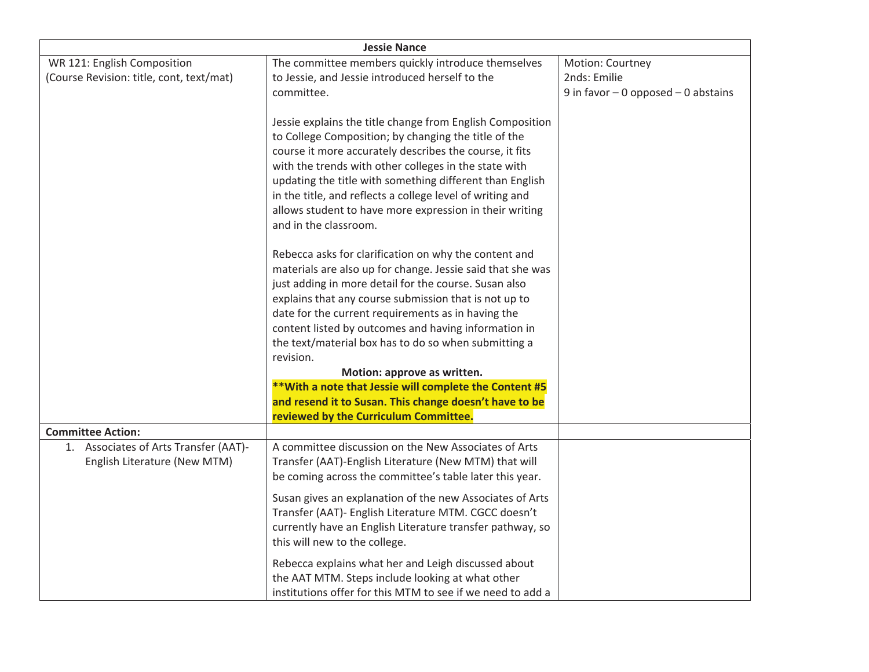| <b>Jessie Nance</b>                                                     |                                                                                                                                                                                                                                                                                                                                                                                                                                                    |                                                                           |  |  |
|-------------------------------------------------------------------------|----------------------------------------------------------------------------------------------------------------------------------------------------------------------------------------------------------------------------------------------------------------------------------------------------------------------------------------------------------------------------------------------------------------------------------------------------|---------------------------------------------------------------------------|--|--|
| WR 121: English Composition<br>(Course Revision: title, cont, text/mat) | The committee members quickly introduce themselves<br>to Jessie, and Jessie introduced herself to the<br>committee.                                                                                                                                                                                                                                                                                                                                | Motion: Courtney<br>2nds: Emilie<br>9 in favor $-0$ opposed $-0$ abstains |  |  |
|                                                                         | Jessie explains the title change from English Composition<br>to College Composition; by changing the title of the<br>course it more accurately describes the course, it fits<br>with the trends with other colleges in the state with<br>updating the title with something different than English<br>in the title, and reflects a college level of writing and<br>allows student to have more expression in their writing<br>and in the classroom. |                                                                           |  |  |
|                                                                         | Rebecca asks for clarification on why the content and<br>materials are also up for change. Jessie said that she was<br>just adding in more detail for the course. Susan also<br>explains that any course submission that is not up to<br>date for the current requirements as in having the<br>content listed by outcomes and having information in                                                                                                |                                                                           |  |  |
|                                                                         | the text/material box has to do so when submitting a<br>revision.                                                                                                                                                                                                                                                                                                                                                                                  |                                                                           |  |  |
|                                                                         | Motion: approve as written.                                                                                                                                                                                                                                                                                                                                                                                                                        |                                                                           |  |  |
|                                                                         | ** With a note that Jessie will complete the Content #5<br>and resend it to Susan. This change doesn't have to be<br>reviewed by the Curriculum Committee.                                                                                                                                                                                                                                                                                         |                                                                           |  |  |
| <b>Committee Action:</b>                                                |                                                                                                                                                                                                                                                                                                                                                                                                                                                    |                                                                           |  |  |
| 1. Associates of Arts Transfer (AAT)-<br>English Literature (New MTM)   | A committee discussion on the New Associates of Arts<br>Transfer (AAT)-English Literature (New MTM) that will<br>be coming across the committee's table later this year.                                                                                                                                                                                                                                                                           |                                                                           |  |  |
|                                                                         | Susan gives an explanation of the new Associates of Arts<br>Transfer (AAT)- English Literature MTM. CGCC doesn't<br>currently have an English Literature transfer pathway, so<br>this will new to the college.                                                                                                                                                                                                                                     |                                                                           |  |  |
|                                                                         | Rebecca explains what her and Leigh discussed about<br>the AAT MTM. Steps include looking at what other<br>institutions offer for this MTM to see if we need to add a                                                                                                                                                                                                                                                                              |                                                                           |  |  |